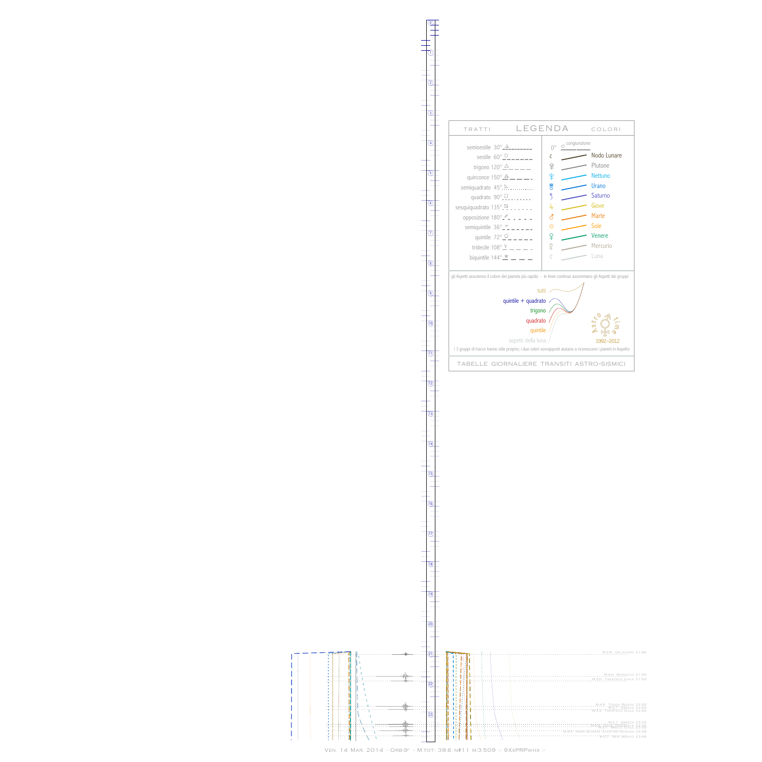l  $\overline{\phantom{a}}$  $\mathsf{l}$  $\begin{array}{c} \end{array}$ I I

> l I I